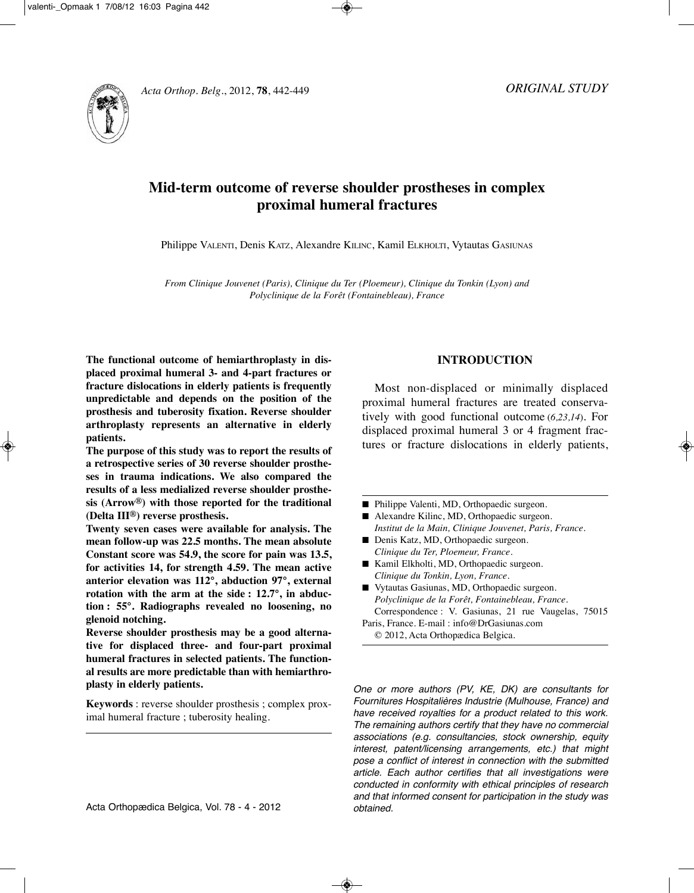

# **Mid-term outcome of reverse shoulder prostheses in complex proximal humeral fractures**

Philippe VALENTI, Denis KATZ, Alexandre KILINC, Kamil ELKHOLTI, Vytautas GASIUNAS

*From Clinique Jouvenet (Paris), Clinique du Ter (Ploemeur), Clinique du Tonkin (Lyon) and Polyclinique de la Forêt (Fontainebleau), France*

**The functional outcome of hemiarthroplasty in displaced proximal humeral 3- and 4-part fractures or fracture dislocations in elderly patients is frequently unpredictable and depends on the position of the prosthesis and tuberosity fixation. Reverse shoulder arthroplasty represents an alternative in elderly patients.**

**The purpose of this study was to report the results of a retrospective series of 30 reverse shoulder prostheses in trauma indications. We also compared the results of a less medialized reverse shoulder prosthesis (Arrow®) with those reported for the traditional (Delta III®) reverse prosthesis.**

**Twenty seven cases were available for analysis. The mean follow-up was 22.5 months. The mean absolute Constant score was 54.9, the score for pain was 13.5, for activities 14, for strength 4.59. The mean active anterior elevation was 112°, abduction 97°, external rotation with the arm at the side : 12.7°, in abduction : 55°. Radiographs revealed no loosening, no glenoid notching.**

**Reverse shoulder prosthesis may be a good alternative for displaced three- and four-part proximal humeral fractures in selected patients. The functional results are more predictable than with hemiarthroplasty in elderly patients.**

**Keywords** : reverse shoulder prosthesis ; complex proximal humeral fracture ; tuberosity healing.

**INTRODUCTION**

Most non-displaced or minimally displaced proximal humeral fractures are treated conservatively with good functional outcome (*6,23,14*). For displaced proximal humeral 3 or 4 fragment fractures or fracture dislocations in elderly patients,

- Philippe Valenti, MD, Orthopaedic surgeon.
- Alexandre Kilinc, MD, Orthopaedic surgeon. *Institut de la Main, Clinique Jouvenet, Paris, France.*
- Denis Katz, MD, Orthopaedic surgeon. *Clinique du Ter, Ploemeur, France.*
- Kamil Elkholti, MD, Orthopaedic surgeon. *Clinique du Tonkin, Lyon, France.*
- Vytautas Gasiunas, MD, Orthopaedic surgeon. *Polyclinique de la Forêt, Fontainebleau, France.* Correspondence : V. Gasiunas, 21 rue Vaugelas, 75015

Paris, France. E-mail : info@DrGasiunas.com © 2012, Acta Orthopædica Belgica.

One or more authors (PV, KE, DK) are consultants for Fournitures Hospitalières Industrie (Mulhouse, France) and have received royalties for a product related to this work. The remaining authors certify that they have no commercial associations (e.g. consultancies, stock ownership, equity interest, patent/licensing arrangements, etc.) that might pose a conflict of interest in connection with the submitted article. Each author certifies that all investigations were conducted in conformity with ethical principles of research and that informed consent for participation in the study was obtained.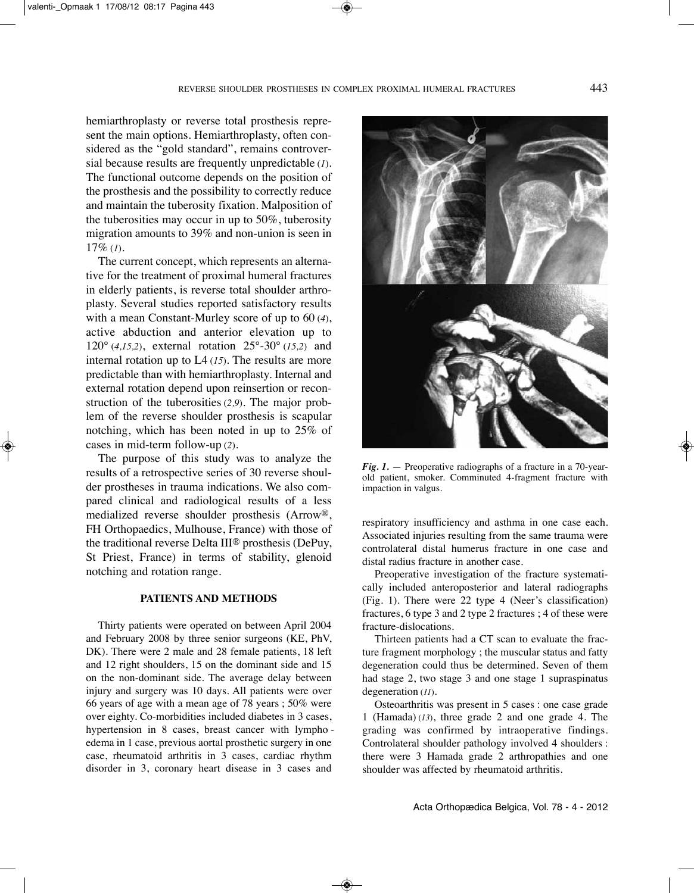hemiarthroplasty or reverse total prosthesis represent the main options. Hemiarthroplasty, often considered as the "gold standard", remains controversial because results are frequently unpredictable (*1*). The functional outcome depends on the position of the prosthesis and the possibility to correctly reduce and maintain the tuberosity fixation. malposition of the tuberosities may occur in up to 50%, tuberosity migration amounts to 39% and non-union is seen in 17% (*1*).

The current concept, which represents an alternative for the treatment of proximal humeral fractures in elderly patients, is reverse total shoulder arthroplasty. Several studies reported satisfactory results with a mean Constant-Murley score of up to 60 (4), active abduction and anterior elevation up to 120° (*4,15,2*), external rotation 25°-30° (*15,2*) and internal rotation up to  $L4(15)$ . The results are more predictable than with hemiarthroplasty. Internal and external rotation depend upon reinsertion or reconstruction of the tuberosities (*2,9*). The major problem of the reverse shoulder prosthesis is scapular notching, which has been noted in up to 25% of cases in mid-term follow-up (*2*).

The purpose of this study was to analyze the results of a retrospective series of 30 reverse shoulder prostheses in trauma indications. We also compared clinical and radiological results of a less medialized reverse shoulder prosthesis (Arrow®, FH Orthopaedics, Mulhouse, France) with those of the traditional reverse Delta  $III<sup>®</sup>$  prosthesis (DePuy, St Priest, France) in terms of stability, glenoid notching and rotation range.

#### **PATIENTS AND METHODS**

Thirty patients were operated on between April 2004 and February 2008 by three senior surgeons (KE, PhV, DK). There were 2 male and 28 female patients, 18 left and 12 right shoulders, 15 on the dominant side and 15 on the non-dominant side. The average delay between injury and surgery was 10 days. All patients were over 66 years of age with a mean age of 78 years ; 50% were over eighty. Co-morbidities included diabetes in 3 cases, hypertension in 8 cases, breast cancer with lympho edema in 1 case, previous aortal prosthetic surgery in one case, rheumatoid arthritis in 3 cases, cardiac rhythm disorder in 3, coronary heart disease in 3 cases and



*Fig. 1.* — Preoperative radiographs of a fracture in a 70-yearold patient, smoker. Comminuted 4-fragment fracture with impaction in valgus.

 respiratory insufficiency and asthma in one case each. Associated injuries resulting from the same trauma were controlateral distal humerus fracture in one case and distal radius fracture in another case.

Preoperative investigation of the fracture systematically included anteroposterior and lateral radiographs (Fig. 1). There were 22 type 4 (Neer's classification) fractures, 6 type 3 and 2 type 2 fractures ; 4 of these were fracture-dislocations.

Thirteen patients had a CT scan to evaluate the fracture fragment morphology ; the muscular status and fatty degeneration could thus be determined. Seven of them had stage 2, two stage 3 and one stage 1 supraspinatus degeneration (*11*).

Osteoarthritis was present in 5 cases : one case grade 1 (Hamada) (*13*), three grade 2 and one grade 4. The grading was confirmed by intraoperative findings. Controlateral shoulder pathology involved 4 shoulders : there were 3 Hamada grade 2 arthropathies and one shoulder was affected by rheumatoid arthritis.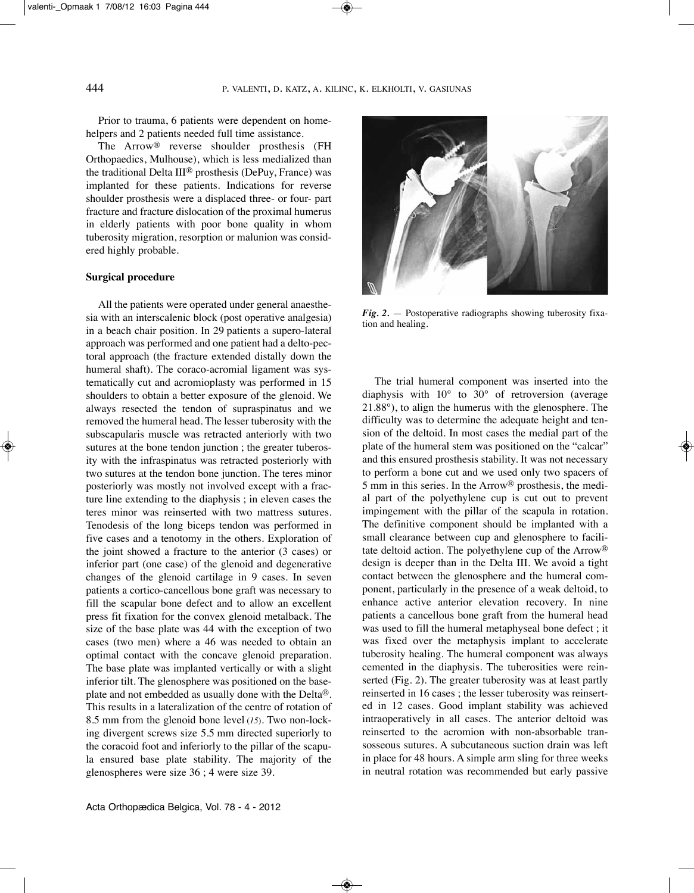Prior to trauma, 6 patients were dependent on homehelpers and 2 patients needed full time assistance.

The Arrow<sup>®</sup> reverse shoulder prosthesis (FH Orthopaedics, Mulhouse), which is less medialized than the traditional Delta III<sup>®</sup> prosthesis (DePuy, France) was implanted for these patients. Indications for reverse shoulder prosthesis were a displaced three- or four- part fracture and fracture dislocation of the proximal humerus in elderly patients with poor bone quality in whom tuberosity migration, resorption or malunion was considered highly probable.

#### **Surgical procedure**

All the patients were operated under general anaesthesia with an interscalenic block (post operative analgesia) in a beach chair position. In 29 patients a supero-lateral approach was performed and one patient had a delto-pectoral approach (the fracture extended distally down the humeral shaft). The coraco-acromial ligament was systematically cut and acromioplasty was performed in 15 shoulders to obtain a better exposure of the glenoid. We always resected the tendon of supraspinatus and we removed the humeral head. The lesser tuberosity with the subscapularis muscle was retracted anteriorly with two sutures at the bone tendon junction ; the greater tuberosity with the infraspinatus was retracted posteriorly with two sutures at the tendon bone junction. The teres minor posteriorly was mostly not involved except with a fracture line extending to the diaphysis ; in eleven cases the teres minor was reinserted with two mattress sutures. Tenodesis of the long biceps tendon was performed in five cases and a tenotomy in the others. Exploration of the joint showed a fracture to the anterior (3 cases) or inferior part (one case) of the glenoid and degenerative changes of the glenoid cartilage in 9 cases. in seven patients a cortico-cancellous bone graft was necessary to fill the scapular bone defect and to allow an excellent press fit fixation for the convex glenoid metalback. The size of the base plate was 44 with the exception of two cases (two men) where a 46 was needed to obtain an optimal contact with the concave glenoid preparation. The base plate was implanted vertically or with a slight inferior tilt. The glenosphere was positioned on the baseplate and not embedded as usually done with the Delta®. This results in a lateralization of the centre of rotation of 8.5 mm from the glenoid bone level (15). Two non-locking divergent screws size 5.5 mm directed superiorly to the coracoid foot and inferiorly to the pillar of the scapula ensured base plate stability. The majority of the glenospheres were size 36 ; 4 were size 39.



*Fig. 2.* — Postoperative radiographs showing tuberosity fixation and healing.

The trial humeral component was inserted into the diaphysis with 10° to 30° of retroversion (average  $21.88^\circ$ ), to align the humerus with the glenosphere. The difficulty was to determine the adequate height and tension of the deltoid. in most cases the medial part of the plate of the humeral stem was positioned on the "calcar" and this ensured prosthesis stability. It was not necessary to perform a bone cut and we used only two spacers of 5 mm in this series. in the Arrow® prosthesis, the medial part of the polyethylene cup is cut out to prevent impingement with the pillar of the scapula in rotation. The definitive component should be implanted with a small clearance between cup and glenosphere to facilitate deltoid action. The polyethylene cup of the Arrow® design is deeper than in the Delta III. We avoid a tight contact between the glenosphere and the humeral component, particularly in the presence of a weak deltoid, to enhance active anterior elevation recovery. in nine patients a cancellous bone graft from the humeral head was used to fill the humeral metaphyseal bone defect ; it was fixed over the metaphysis implant to accelerate tuberosity healing. The humeral component was always cemented in the diaphysis. The tuberosities were reinserted (Fig. 2). The greater tuberosity was at least partly reinserted in 16 cases ; the lesser tuberosity was reinserted in 12 cases. Good implant stability was achieved intraoperatively in all cases. The anterior deltoid was reinserted to the acromion with non-absorbable transosseous sutures. A subcutaneous suction drain was left in place for 48 hours. A simple arm sling for three weeks in neutral rotation was recommended but early passive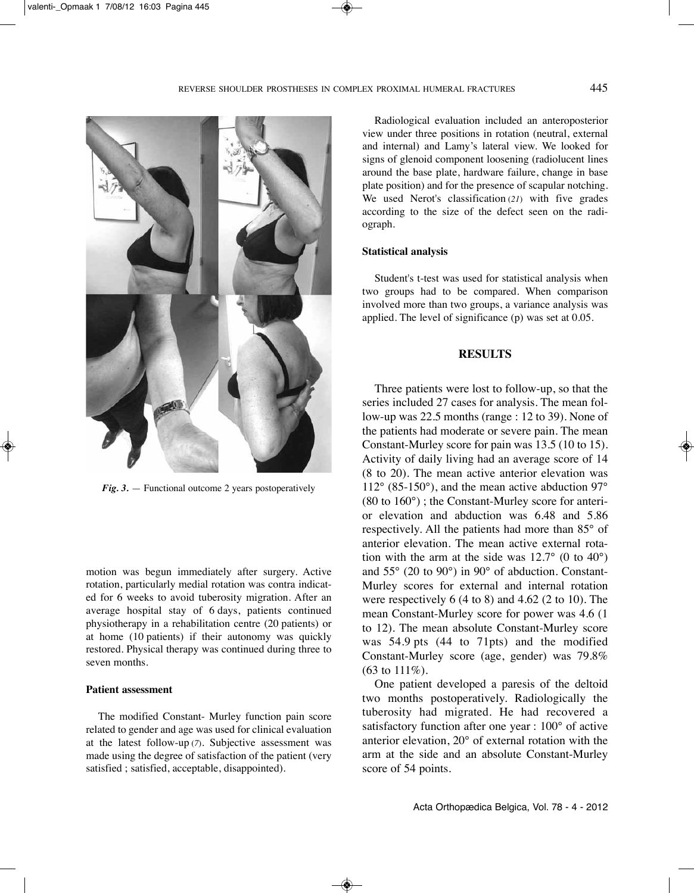

*Fig. 3.* — Functional outcome 2 years postoperatively

motion was begun immediately after surgery. Active rotation, particularly medial rotation was contra indicated for 6 weeks to avoid tuberosity migration. After an average hospital stay of 6 days, patients continued physiotherapy in a rehabilitation centre (20 patients) or at home (10 patients) if their autonomy was quickly restored. Physical therapy was continued during three to seven months.

# **Patient assessment**

The modified Constant- Murley function pain score related to gender and age was used for clinical evaluation at the latest follow-up (*7*). subjective assessment was made using the degree of satisfaction of the patient (very satisfied ; satisfied, acceptable, disappointed).

Radiological evaluation included an anteroposterior view under three positions in rotation (neutral, external and internal) and lamy's lateral view. We looked for signs of glenoid component loosening (radiolucent lines around the base plate, hardware failure, change in base plate position) and for the presence of scapular notching. We used Nerot's classification (21) with five grades according to the size of the defect seen on the radiograph.

#### **Statistical analysis**

student's t-test was used for statistical analysis when two groups had to be compared. When comparison involved more than two groups, a variance analysis was applied. The level of significance  $(p)$  was set at 0.05.

## **RESULTS**

Three patients were lost to follow-up, so that the series included 27 cases for analysis. The mean follow-up was  $22.5$  months (range : 12 to 39). None of the patients had moderate or severe pain. The mean Constant-Murley score for pain was 13.5 (10 to 15). Activity of daily living had an average score of 14  $(8 \text{ to } 20)$ . The mean active anterior elevation was  $112^{\circ}$  (85-150°), and the mean active abduction 97° (80 to 160°) ; the Constant-Murley score for anterior elevation and abduction was 6.48 and 5.86 respectively. All the patients had more than 85° of anterior elevation. The mean active external rotation with the arm at the side was  $12.7^{\circ}$  (0 to  $40^{\circ}$ ) and 55° (20 to 90°) in 90° of abduction. Constant-Murley scores for external and internal rotation were respectively  $6(4 \text{ to } 8)$  and  $4.62(2 \text{ to } 10)$ . The mean Constant-Murley score for power was 4.6 (1 to 12). The mean absolute Constant-Murley score was 54.9 pts (44 to 71pts) and the modified Constant-Murley score (age, gender) was 79.8% (63 to 111%).

One patient developed a paresis of the deltoid two months postoperatively. Radiologically the tuberosity had migrated. he had recovered a satisfactory function after one year : 100° of active anterior elevation, 20° of external rotation with the arm at the side and an absolute Constant-Murley score of 54 points.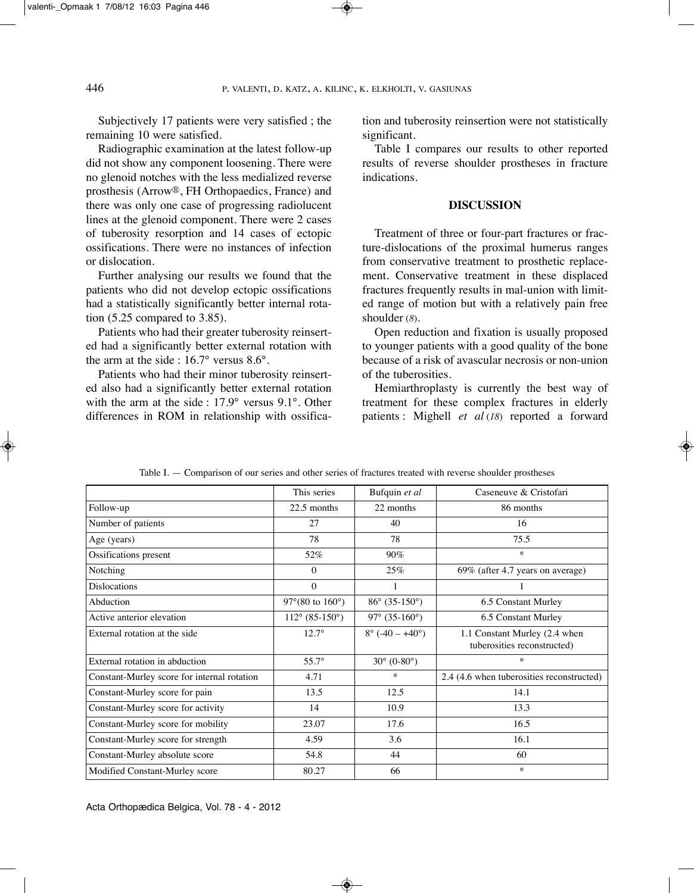Subjectively 17 patients were very satisfied; the remaining 10 were satisfied.

Radiographic examination at the latest follow-up did not show any component loosening. There were no glenoid notches with the less medialized reverse prosthesis (Arrow®, Fh Orthopaedics, France) and there was only one case of progressing radiolucent lines at the glenoid component. There were 2 cases of tuberosity resorption and 14 cases of ectopic ossifications. There were no instances of infection or dislocation.

Further analysing our results we found that the patients who did not develop ectopic ossifications had a statistically significantly better internal rotation (5.25 compared to 3.85).

Patients who had their greater tuberosity reinserted had a significantly better external rotation with the arm at the side : 16.7° versus 8.6°.

Patients who had their minor tuberosity reinserted also had a significantly better external rotation with the arm at the side : 17.9° versus 9.1°. Other differences in ROM in relationship with ossification and tuberosity reinsertion were not statistically significant.

Table I compares our results to other reported results of reverse shoulder prostheses in fracture indications.

# **DISCUSSION**

Treatment of three or four-part fractures or fracture-dislocations of the proximal humerus ranges from conservative treatment to prosthetic replacement. Conservative treatment in these displaced fractures frequently results in mal-union with limited range of motion but with a relatively pain free shoulder (*8*).

Open reduction and fixation is usually proposed to younger patients with a good quality of the bone because of a risk of avascular necrosis or non-union of the tuberosities.

Hemiarthroplasty is currently the best way of treatment for these complex fractures in elderly patients : Mighell *et al* (*18*) reported a forward

|                                             | This series                           | Bufquin et al                       | Caseneuve & Cristofari                                       |
|---------------------------------------------|---------------------------------------|-------------------------------------|--------------------------------------------------------------|
|                                             |                                       |                                     |                                                              |
| Follow-up                                   | 22.5 months                           | 22 months                           | 86 months                                                    |
| Number of patients                          | 27                                    | 40                                  | 16                                                           |
| Age (years)                                 | 78                                    | 78                                  | 75.5                                                         |
| Ossifications present                       | 52%                                   | 90%                                 | $\ast$                                                       |
| Notching                                    | $\theta$                              | 25%                                 | 69% (after 4.7 years on average)                             |
| <b>Dislocations</b>                         | $\theta$                              | 1                                   |                                                              |
| Abduction                                   | 97 $^{\circ}$ (80 to 160 $^{\circ}$ ) | $86^{\circ}$ (35-150°)              | 6.5 Constant Murley                                          |
| Active anterior elevation                   | $112^{\circ}$ (85-150°)               | 97° (35-160°)                       | 6.5 Constant Murley                                          |
| External rotation at the side               | $12.7^{\circ}$                        | $8^{\circ}$ (-40 – +40 $^{\circ}$ ) | 1.1 Constant Murley (2.4 when<br>tuberosities reconstructed) |
| External rotation in abduction              | $55.7^{\circ}$                        | $30^{\circ}$ (0-80°)                | $\ast$                                                       |
| Constant-Murley score for internal rotation | 4.71                                  | $\ast$                              | 2.4 (4.6 when tuberosities reconstructed)                    |
| Constant-Murley score for pain              | 13.5                                  | 12.5                                | 14.1                                                         |
| Constant-Murley score for activity          | 14                                    | 10.9                                | 13.3                                                         |
| Constant-Murley score for mobility          | 23.07                                 | 17.6                                | 16.5                                                         |
| Constant-Murley score for strength          | 4.59                                  | 3.6                                 | 16.1                                                         |
| Constant-Murley absolute score              | 54.8                                  | 44                                  | 60                                                           |
| Modified Constant-Murley score              | 80.27                                 | 66                                  | $\ast$                                                       |

Table I. — Comparison of our series and other series of fractures treated with reverse shoulder prostheses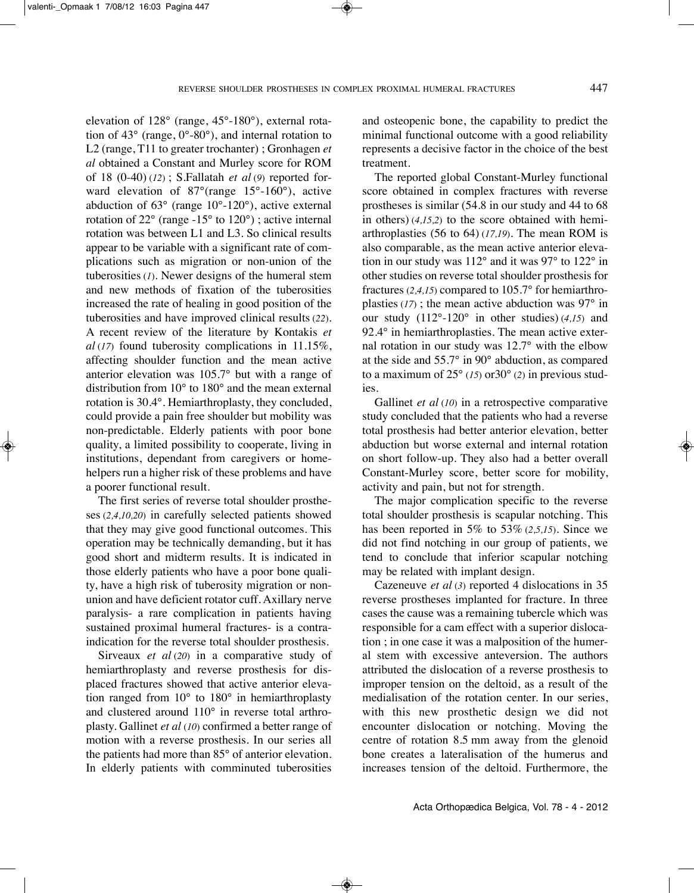elevation of 128° (range, 45°-180°), external rotation of  $43^{\circ}$  (range,  $0^{\circ}$ -80°), and internal rotation to l2 (range, t11 to greater trochanter) ; Gronhagen *et al* obtained a Constant and Murley score for ROM of 18 (0-40) (*12*) ; s.Fallatah *et al* (*9*) reported forward elevation of 87° (range 15°-160°), active abduction of 63° (range 10°-120°), active external rotation of 22° (range -15° to 120°) ; active internal rotation was between L1 and L3. So clinical results appear to be variable with a significant rate of complications such as migration or non-union of the tuberosities  $(1)$ . Newer designs of the humeral stem and new methods of fixation of the tuberosities increased the rate of healing in good position of the tuberosities and have improved clinical results (*22*). A recent review of the literature by Kontakis *et al* (*17*) found tuberosity complications in 11.15%, affecting shoulder function and the mean active anterior elevation was 105.7° but with a range of distribution from 10° to 180° and the mean external rotation is 30.4°. Hemiarthroplasty, they concluded, could provide a pain free shoulder but mobility was non-predictable. Elderly patients with poor bone quality, a limited possibility to cooperate, living in institutions, dependant from caregivers or homehelpers run a higher risk of these problems and have a poorer functional result.

The first series of reverse total shoulder prostheses (*2,4,10,20*) in carefully selected patients showed that they may give good functional outcomes. This operation may be technically demanding, but it has good short and midterm results. it is indicated in those elderly patients who have a poor bone quality, have a high risk of tuberosity migration or nonunion and have deficient rotator cuff. Axillary nerve paralysis- a rare complication in patients having sustained proximal humeral fractures- is a contraindication for the reverse total shoulder prosthesis.

sirveaux *et al* (*20*) in a comparative study of hemiarthroplasty and reverse prosthesis for displaced fractures showed that active anterior elevation ranged from 10° to 180° in hemiarthroplasty and clustered around 110° in reverse total arthroplasty. Gallinet *et al* (*10*) confirmed a better range of motion with a reverse prosthesis. In our series all the patients had more than 85° of anterior elevation. In elderly patients with comminuted tuberosities and osteopenic bone, the capability to predict the minimal functional outcome with a good reliability represents a decisive factor in the choice of the best treatment.

The reported global Constant-Murley functional score obtained in complex fractures with reverse prostheses is similar (54.8 in our study and 44 to 68 in others) (*4,15,2*) to the score obtained with hemiarthroplasties  $(56 \text{ to } 64)$   $(17,19)$ . The mean ROM is also comparable, as the mean active anterior elevation in our study was 112° and it was 97° to 122° in other studies on reverse total shoulder prosthesis for fractures (*2,4,15*) compared to 105.7° for hemiarthroplasties (*17*) ; the mean active abduction was 97° in our study (112°-120° in other studies) (*4,15*) and  $92.4^\circ$  in hemiarthroplasties. The mean active external rotation in our study was 12.7° with the elbow at the side and 55.7° in 90° abduction, as compared to a maximum of  $25^{\circ}$  (15) or  $30^{\circ}$  (2) in previous studies.

Gallinet *et al* (*10*) in a retrospective comparative study concluded that the patients who had a reverse total prosthesis had better anterior elevation, better abduction but worse external and internal rotation on short follow-up. They also had a better overall Constant-Murley score, better score for mobility, activity and pain, but not for strength.

The major complication specific to the reverse total shoulder prosthesis is scapular notching. This has been reported in 5% to 53%  $(2,5,15)$ . Since we did not find notching in our group of patients, we tend to conclude that inferior scapular notching may be related with implant design.

Cazeneuve *et al* (*3*) reported 4 dislocations in 35 reverse prostheses implanted for fracture. In three cases the cause was a remaining tubercle which was responsible for a cam effect with a superior dislocation ; in one case it was a malposition of the humeral stem with excessive anteversion. The authors attributed the dislocation of a reverse prosthesis to improper tension on the deltoid, as a result of the medialisation of the rotation center. In our series, with this new prosthetic design we did not encounter dislocation or notching. Moving the centre of rotation 8.5 mm away from the glenoid bone creates a lateralisation of the humerus and increases tension of the deltoid. Furthermore, the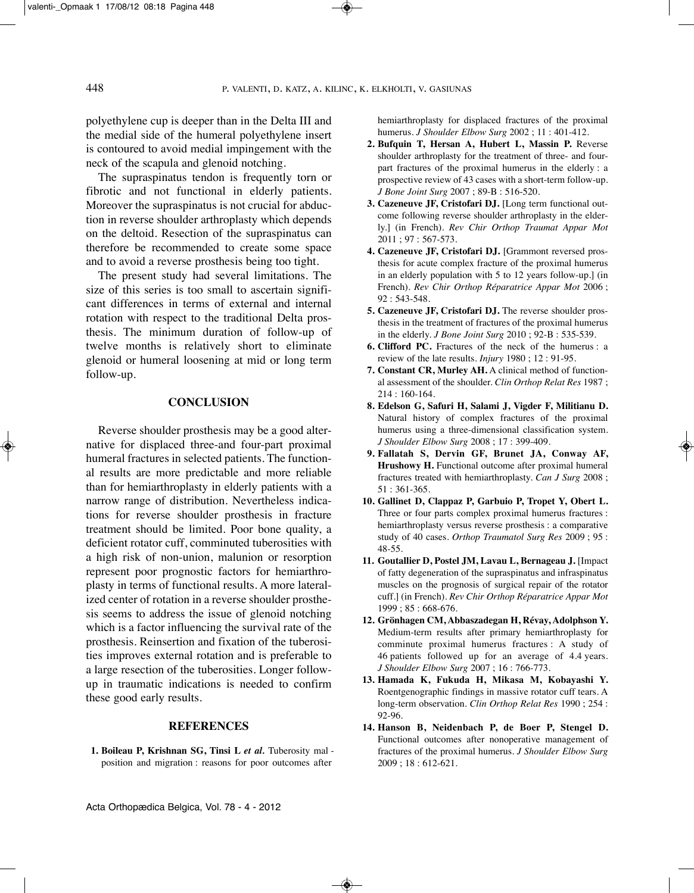polyethylene cup is deeper than in the Delta III and the medial side of the humeral polyethylene insert is contoured to avoid medial impingement with the neck of the scapula and glenoid notching.

The supraspinatus tendon is frequently torn or fibrotic and not functional in elderly patients. Moreover the supraspinatus is not crucial for abduction in reverse shoulder arthroplasty which depends on the deltoid. Resection of the supraspinatus can therefore be recommended to create some space and to avoid a reverse prosthesis being too tight.

The present study had several limitations. The size of this series is too small to ascertain significant differences in terms of external and internal rotation with respect to the traditional Delta prosthesis. The minimum duration of follow-up of twelve months is relatively short to eliminate glenoid or humeral loosening at mid or long term follow-up.

# **CONCLUSION**

Reverse shoulder prosthesis may be a good alternative for displaced three-and four-part proximal humeral fractures in selected patients. The functional results are more predictable and more reliable than for hemiarthroplasty in elderly patients with a narrow range of distribution. Nevertheless indications for reverse shoulder prosthesis in fracture treatment should be limited. poor bone quality, a deficient rotator cuff, comminuted tuberosities with a high risk of non-union, malunion or resorption represent poor prognostic factors for hemiarthroplasty in terms of functional results. A more lateralized center of rotation in a reverse shoulder prosthesis seems to address the issue of glenoid notching which is a factor influencing the survival rate of the prosthesis. Reinsertion and fixation of the tuberosities improves external rotation and is preferable to a large resection of the tuberosities. Longer followup in traumatic indications is needed to confirm these good early results.

### **REFERENCES**

**1. Boileau P, Krishnan SG, Tinsi L**  *et al.* Tuberosity mal position and migration : reasons for poor outcomes after

hemiarthroplasty for displaced fractures of the proximal humerus*. J Shoulder Elbow Surg* 2002 ; 11 : 401-412.

- **2. Bufquin T, Hersan A, Hubert L, Massin P.** Reverse shoulder arthroplasty for the treatment of three- and fourpart fractures of the proximal humerus in the elderly : a prospective review of 43 cases with a short-term follow-up. *J Bone Joint Surg* 2007 ; 89-B : 516-520.
- **3. Cazeneuve JF, Cristofari DJ.** [Long term functional outcome following reverse shoulder arthroplasty in the elderly.] (in French). *Rev Chir Orthop Traumat Appar Mot* 2011 ; 97 : 567-573.
- **4. Cazeneuve JF, Cristofari DJ.** [Grammont reversed prosthesis for acute complex fracture of the proximal humerus in an elderly population with 5 to 12 years follow-up.] (in French). *Rev Chir Orthop Réparatrice Appar Mot* 2006 ; 92 : 543-548.
- **5. Cazeneuve JF, Cristofari DJ.** The reverse shoulder prosthesis in the treatment of fractures of the proximal humerus in the elderly. *J Bone Joint Surg* 2010 ; 92-B : 535-539.
- **6. Clifford PC.** Fractures of the neck of the humerus : a review of the late results. *Injury* 1980 ; 12 : 91-95.
- **7. Constant CR, Murley AH.** A clinical method of functional assessment of the shoulder. *Clin Orthop Relat Res* 1987 ; 214 : 160-164.
- **8. Edelson G, Safuri H, Salami J, Vigder F, Militianu D.** Natural history of complex fractures of the proximal humerus using a three-dimensional classification system. *J Shoulder Elbow Surg* 2008 ; 17 : 399-409.
- **9. Fallatah S, Dervin GF, Brunet JA, Conway AF, Hrushowy H.** Functional outcome after proximal humeral fractures treated with hemiarthroplasty. *Can J Surg* 2008 ; 51 : 361-365.
- **10. Gallinet D, Clappaz P, Garbuio P, Tropet Y, Obert L.** Three or four parts complex proximal humerus fractures : hemiarthroplasty versus reverse prosthesis : a comparative study of 40 cases. *Orthop Traumatol Surg Res* 2009 ; 95 : 48-55.
- **11. Goutallier D, Postel JM, Lavau L, Bernageau J.** [Impact of fatty degeneration of the supraspinatus and infraspinatus muscles on the prognosis of surgical repair of the rotator cuff.] (in French). *Rev Chir Orthop Réparatrice Appar Mot* 1999 ; 85 : 668-676.
- **12. Grönhagen CM, Abbaszadegan H, Révay, Adolphson Y.** Medium-term results after primary hemiarthroplasty for comminute proximal humerus fractures : A study of 46 patients followed up for an average of 4.4 years. *J Shoulder Elbow Surg* 2007 ; 16 : 766-773.
- **13. Hamada K, Fukuda H, Mikasa M, Kobayashi Y.** Roentgenographic findings in massive rotator cuff tears. A long-term observation. *Clin Orthop Relat Res* 1990 ; 254 : 92-96.
- **14. Hanson B, Neidenbach P, de Boer P, Stengel D.** Functional outcomes after nonoperative management of fractures of the proximal humerus. *J Shoulder Elbow Surg* 2009 ; 18 : 612-621.